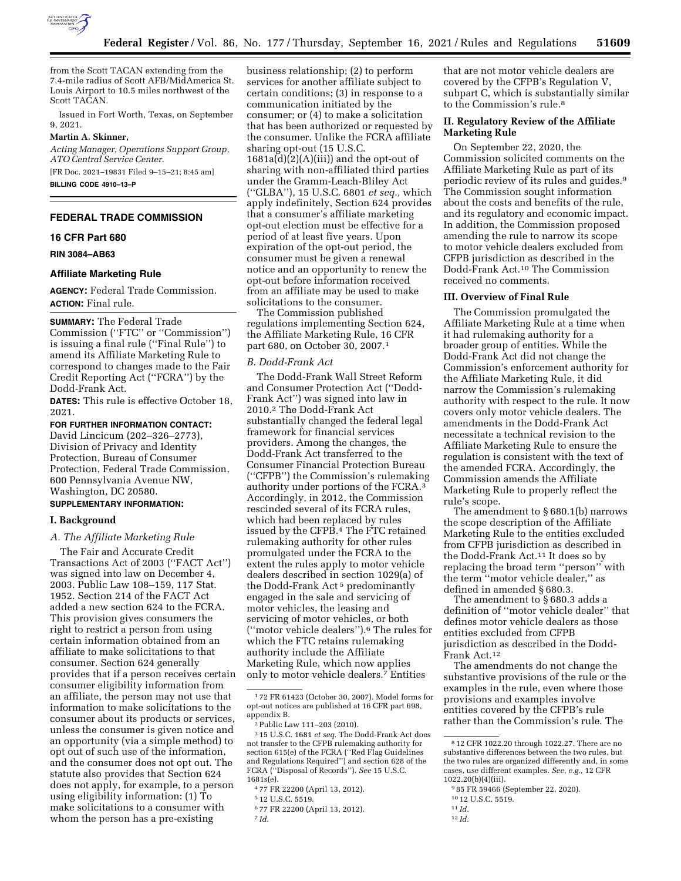

from the Scott TACAN extending from the 7.4-mile radius of Scott AFB/MidAmerica St. Louis Airport to 10.5 miles northwest of the Scott TACAN.

Issued in Fort Worth, Texas, on September 9, 2021.

#### **Martin A. Skinner,**

*Acting Manager, Operations Support Group, ATO Central Service Center.*  [FR Doc. 2021–19831 Filed 9–15–21; 8:45 am]

**BILLING CODE 4910–13–P** 

## **FEDERAL TRADE COMMISSION**

# **16 CFR Part 680**

**RIN 3084–AB63** 

## **Affiliate Marketing Rule**

**AGENCY:** Federal Trade Commission. **ACTION:** Final rule.

**SUMMARY:** The Federal Trade Commission (''FTC'' or ''Commission'') is issuing a final rule (''Final Rule'') to amend its Affiliate Marketing Rule to correspond to changes made to the Fair Credit Reporting Act (''FCRA'') by the Dodd-Frank Act.

**DATES:** This rule is effective October 18, 2021.

**FOR FURTHER INFORMATION CONTACT:**  David Lincicum (202–326–2773), Division of Privacy and Identity Protection, Bureau of Consumer Protection, Federal Trade Commission, 600 Pennsylvania Avenue NW, Washington, DC 20580.

# **SUPPLEMENTARY INFORMATION:**

## **I. Background**

## *A. The Affiliate Marketing Rule*

The Fair and Accurate Credit Transactions Act of 2003 (''FACT Act'') was signed into law on December 4, 2003. Public Law 108–159, 117 Stat. 1952. Section 214 of the FACT Act added a new section 624 to the FCRA. This provision gives consumers the right to restrict a person from using certain information obtained from an affiliate to make solicitations to that consumer. Section 624 generally provides that if a person receives certain consumer eligibility information from an affiliate, the person may not use that information to make solicitations to the consumer about its products or services, unless the consumer is given notice and an opportunity (via a simple method) to opt out of such use of the information, and the consumer does not opt out. The statute also provides that Section 624 does not apply, for example, to a person using eligibility information: (1) To make solicitations to a consumer with whom the person has a pre-existing

business relationship; (2) to perform services for another affiliate subject to certain conditions; (3) in response to a communication initiated by the consumer; or (4) to make a solicitation that has been authorized or requested by the consumer. Unlike the FCRA affiliate sharing opt-out (15 U.S.C.  $1681a(d)(2)(A)(iii)$  and the opt-out of sharing with non-affiliated third parties under the Gramm-Leach-Bliley Act (''GLBA''), 15 U.S.C. 6801 *et seq.,* which apply indefinitely, Section 624 provides that a consumer's affiliate marketing opt-out election must be effective for a period of at least five years. Upon expiration of the opt-out period, the consumer must be given a renewal notice and an opportunity to renew the opt-out before information received from an affiliate may be used to make solicitations to the consumer.

The Commission published regulations implementing Section 624, the Affiliate Marketing Rule, 16 CFR part 680, on October 30, 2007.1

#### *B. Dodd-Frank Act*

The Dodd-Frank Wall Street Reform and Consumer Protection Act (''Dodd-Frank Act'') was signed into law in 2010.2 The Dodd-Frank Act substantially changed the federal legal framework for financial services providers. Among the changes, the Dodd-Frank Act transferred to the Consumer Financial Protection Bureau (''CFPB'') the Commission's rulemaking authority under portions of the FCRA.3 Accordingly, in 2012, the Commission rescinded several of its FCRA rules, which had been replaced by rules issued by the CFPB.4 The FTC retained rulemaking authority for other rules promulgated under the FCRA to the extent the rules apply to motor vehicle dealers described in section 1029(a) of the Dodd-Frank Act 5 predominantly engaged in the sale and servicing of motor vehicles, the leasing and servicing of motor vehicles, or both (''motor vehicle dealers'').6 The rules for which the FTC retains rulemaking authority include the Affiliate Marketing Rule, which now applies only to motor vehicle dealers.7 Entities

that are not motor vehicle dealers are covered by the CFPB's Regulation V, subpart C, which is substantially similar to the Commission's rule.<sup>8</sup>

# **II. Regulatory Review of the Affiliate Marketing Rule**

On September 22, 2020, the Commission solicited comments on the Affiliate Marketing Rule as part of its periodic review of its rules and guides.9 The Commission sought information about the costs and benefits of the rule, and its regulatory and economic impact. In addition, the Commission proposed amending the rule to narrow its scope to motor vehicle dealers excluded from CFPB jurisdiction as described in the Dodd-Frank Act.10 The Commission received no comments.

#### **III. Overview of Final Rule**

The Commission promulgated the Affiliate Marketing Rule at a time when it had rulemaking authority for a broader group of entities. While the Dodd-Frank Act did not change the Commission's enforcement authority for the Affiliate Marketing Rule, it did narrow the Commission's rulemaking authority with respect to the rule. It now covers only motor vehicle dealers. The amendments in the Dodd-Frank Act necessitate a technical revision to the Affiliate Marketing Rule to ensure the regulation is consistent with the text of the amended FCRA. Accordingly, the Commission amends the Affiliate Marketing Rule to properly reflect the rule's scope.

The amendment to § 680.1(b) narrows the scope description of the Affiliate Marketing Rule to the entities excluded from CFPB jurisdiction as described in the Dodd-Frank Act.11 It does so by replacing the broad term ''person'' with the term ''motor vehicle dealer,'' as defined in amended § 680.3.

The amendment to § 680.3 adds a definition of ''motor vehicle dealer'' that defines motor vehicle dealers as those entities excluded from CFPB jurisdiction as described in the Dodd-Frank Act.12

The amendments do not change the substantive provisions of the rule or the examples in the rule, even where those provisions and examples involve entities covered by the CFPB's rule rather than the Commission's rule. The

- 10 12 U.S.C. 5519.
- 11 *Id.*
- 12 *Id.*

<sup>1</sup> 72 FR 61423 (October 30, 2007). Model forms for opt-out notices are published at 16 CFR part 698, appendix B.

<sup>2</sup>Public Law 111–203 (2010).

<sup>3</sup> 15 U.S.C. 1681 *et seq.* The Dodd-Frank Act does not transfer to the CFPB rulemaking authority for section 615(e) of the FCRA (''Red Flag Guidelines and Regulations Required'') and section 628 of the FCRA (''Disposal of Records''). *See* 15 U.S.C. 1681s(e).

<sup>4</sup> 77 FR 22200 (April 13, 2012).

<sup>5</sup> 12 U.S.C. 5519.

<sup>6</sup> 77 FR 22200 (April 13, 2012).

<sup>7</sup> *Id.* 

<sup>8</sup> 12 CFR 1022.20 through 1022.27. There are no substantive differences between the two rules, but the two rules are organized differently and, in some cases, use different examples. *See, e.g.,* 12 CFR 1022.20(b)(4)(iii).

<sup>9</sup> 85 FR 59466 (September 22, 2020).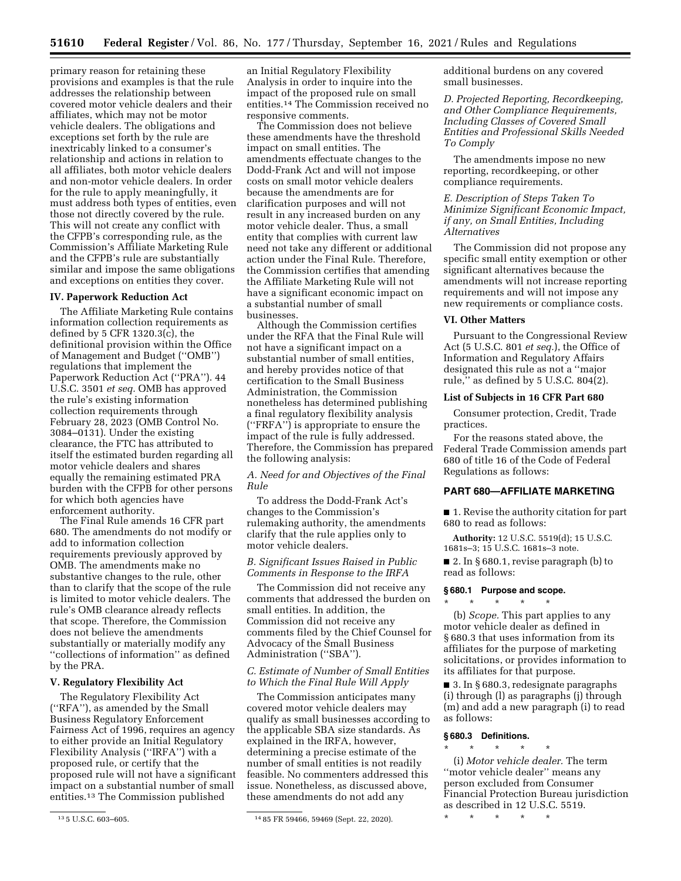primary reason for retaining these provisions and examples is that the rule addresses the relationship between covered motor vehicle dealers and their affiliates, which may not be motor vehicle dealers. The obligations and exceptions set forth by the rule are inextricably linked to a consumer's relationship and actions in relation to all affiliates, both motor vehicle dealers and non-motor vehicle dealers. In order for the rule to apply meaningfully, it must address both types of entities, even those not directly covered by the rule. This will not create any conflict with the CFPB's corresponding rule, as the Commission's Affiliate Marketing Rule and the CFPB's rule are substantially similar and impose the same obligations and exceptions on entities they cover.

## **IV. Paperwork Reduction Act**

The Affiliate Marketing Rule contains information collection requirements as defined by 5 CFR 1320.3(c), the definitional provision within the Office of Management and Budget (''OMB'') regulations that implement the Paperwork Reduction Act (''PRA''). 44 U.S.C. 3501 *et seq.* OMB has approved the rule's existing information collection requirements through February 28, 2023 (OMB Control No. 3084–0131). Under the existing clearance, the FTC has attributed to itself the estimated burden regarding all motor vehicle dealers and shares equally the remaining estimated PRA burden with the CFPB for other persons for which both agencies have enforcement authority.

The Final Rule amends 16 CFR part 680. The amendments do not modify or add to information collection requirements previously approved by OMB. The amendments make no substantive changes to the rule, other than to clarify that the scope of the rule is limited to motor vehicle dealers. The rule's OMB clearance already reflects that scope. Therefore, the Commission does not believe the amendments substantially or materially modify any ''collections of information'' as defined by the PRA.

#### **V. Regulatory Flexibility Act**

The Regulatory Flexibility Act (''RFA''), as amended by the Small Business Regulatory Enforcement Fairness Act of 1996, requires an agency to either provide an Initial Regulatory Flexibility Analysis (''IRFA'') with a proposed rule, or certify that the proposed rule will not have a significant impact on a substantial number of small entities.13 The Commission published

an Initial Regulatory Flexibility Analysis in order to inquire into the impact of the proposed rule on small entities.14 The Commission received no responsive comments.

The Commission does not believe these amendments have the threshold impact on small entities. The amendments effectuate changes to the Dodd-Frank Act and will not impose costs on small motor vehicle dealers because the amendments are for clarification purposes and will not result in any increased burden on any motor vehicle dealer. Thus, a small entity that complies with current law need not take any different or additional action under the Final Rule. Therefore, the Commission certifies that amending the Affiliate Marketing Rule will not have a significant economic impact on a substantial number of small businesses.

Although the Commission certifies under the RFA that the Final Rule will not have a significant impact on a substantial number of small entities, and hereby provides notice of that certification to the Small Business Administration, the Commission nonetheless has determined publishing a final regulatory flexibility analysis (''FRFA'') is appropriate to ensure the impact of the rule is fully addressed. Therefore, the Commission has prepared the following analysis:

*A. Need for and Objectives of the Final Rule* 

To address the Dodd-Frank Act's changes to the Commission's rulemaking authority, the amendments clarify that the rule applies only to motor vehicle dealers.

## *B. Significant Issues Raised in Public Comments in Response to the IRFA*

The Commission did not receive any comments that addressed the burden on small entities. In addition, the Commission did not receive any comments filed by the Chief Counsel for Advocacy of the Small Business Administration (''SBA'').

## *C. Estimate of Number of Small Entities to Which the Final Rule Will Apply*

The Commission anticipates many covered motor vehicle dealers may qualify as small businesses according to the applicable SBA size standards. As explained in the IRFA, however, determining a precise estimate of the number of small entities is not readily feasible. No commenters addressed this issue. Nonetheless, as discussed above, these amendments do not add any

additional burdens on any covered small businesses.

*D. Projected Reporting, Recordkeeping, and Other Compliance Requirements, Including Classes of Covered Small Entities and Professional Skills Needed To Comply* 

The amendments impose no new reporting, recordkeeping, or other compliance requirements.

# *E. Description of Steps Taken To Minimize Significant Economic Impact, if any, on Small Entities, Including Alternatives*

The Commission did not propose any specific small entity exemption or other significant alternatives because the amendments will not increase reporting requirements and will not impose any new requirements or compliance costs.

#### **VI. Other Matters**

Pursuant to the Congressional Review Act (5 U.S.C. 801 *et seq.*), the Office of Information and Regulatory Affairs designated this rule as not a ''major rule,'' as defined by 5 U.S.C. 804(2).

## **List of Subjects in 16 CFR Part 680**

Consumer protection, Credit, Trade practices.

For the reasons stated above, the Federal Trade Commission amends part 680 of title 16 of the Code of Federal Regulations as follows:

## **PART 680—AFFILIATE MARKETING**

■ 1. Revise the authority citation for part 680 to read as follows:

**Authority:** 12 U.S.C. 5519(d); 15 U.S.C. 1681s–3; 15 U.S.C. 1681s–3 note.

■ 2. In § 680.1, revise paragraph (b) to read as follows:

## **§ 680.1 Purpose and scope.**

\* \* \* \* \* (b) *Scope.* This part applies to any motor vehicle dealer as defined in § 680.3 that uses information from its affiliates for the purpose of marketing solicitations, or provides information to its affiliates for that purpose.

■ 3. In § 680.3, redesignate paragraphs (i) through (l) as paragraphs (j) through (m) and add a new paragraph (i) to read as follows:

#### **§ 680.3 Definitions.**

\* \* \* \* \* (i) *Motor vehicle dealer.* The term ''motor vehicle dealer'' means any person excluded from Consumer Financial Protection Bureau jurisdiction as described in 12 U.S.C. 5519.

\* \* \* \* \*

<sup>13</sup> 5 U.S.C. 603–605. 14 85 FR 59466, 59469 (Sept. 22, 2020).